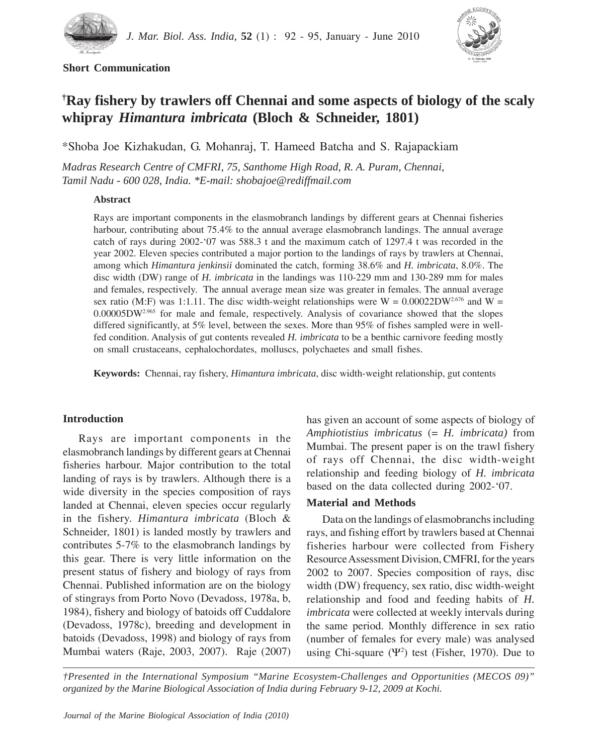

## **Short Communication**



# **† Ray fishery by trawlers off Chennai and some aspects of biology of the scaly whipray** *Himantura imbricata* **(Bloch & Schneider, 1801)**

\*Shoba Joe Kizhakudan, G. Mohanraj, T. Hameed Batcha and S. Rajapackiam

*Madras Research Centre of CMFRI, 75, Santhome High Road, R. A. Puram, Chennai, Tamil Nadu - 600 028, India. \*E-mail: shobajoe@rediffmail.com*

### **Abstract**

Rays are important components in the elasmobranch landings by different gears at Chennai fisheries harbour, contributing about 75.4% to the annual average elasmobranch landings. The annual average catch of rays during 2002-'07 was 588.3 t and the maximum catch of 1297.4 t was recorded in the year 2002. Eleven species contributed a major portion to the landings of rays by trawlers at Chennai, among which *Himantura jenkinsii* dominated the catch, forming 38.6% and *H. imbricata*, 8.0%. The disc width (DW) range of *H. imbricata* in the landings was 110-229 mm and 130-289 mm for males and females, respectively. The annual average mean size was greater in females. The annual average sex ratio (M:F) was 1:1.11. The disc width-weight relationships were  $W = 0.00022DW^{2.676}$  and  $W =$ 0.00005DW2.965 for male and female*,* respectively. Analysis of covariance showed that the slopes differed significantly, at 5% level, between the sexes. More than 95% of fishes sampled were in wellfed condition. Analysis of gut contents revealed *H. imbricata* to be a benthic carnivore feeding mostly on small crustaceans, cephalochordates, molluscs, polychaetes and small fishes.

**Keywords:** Chennai, ray fishery, *Himantura imbricata*, disc width-weight relationship, gut contents

## **Introduction**

Rays are important components in the elasmobranch landings by different gears at Chennai fisheries harbour. Major contribution to the total landing of rays is by trawlers. Although there is a wide diversity in the species composition of rays landed at Chennai, eleven species occur regularly in the fishery. *Himantura imbricata* (Bloch & Schneider, 1801) is landed mostly by trawlers and contributes 5-7% to the elasmobranch landings by this gear. There is very little information on the present status of fishery and biology of rays from Chennai. Published information are on the biology of stingrays from Porto Novo (Devadoss, 1978a, b, 1984), fishery and biology of batoids off Cuddalore (Devadoss, 1978c), breeding and development in batoids (Devadoss, 1998) and biology of rays from Mumbai waters (Raje, 2003, 2007). Raje (2007) has given an account of some aspects of biology of *Amphiotistius imbricatus* (= *H. imbricata)* from Mumbai. The present paper is on the trawl fishery of rays off Chennai, the disc width-weight relationship and feeding biology of *H. imbricata* based on the data collected during 2002-'07.

## **Material and Methods**

Data on the landings of elasmobranchs including rays, and fishing effort by trawlers based at Chennai fisheries harbour were collected from Fishery Resource Assessment Division, CMFRI, for the years 2002 to 2007. Species composition of rays, disc width (DW) frequency, sex ratio, disc width-weight relationship and food and feeding habits of *H. imbricata* were collected at weekly intervals during the same period. Monthly difference in sex ratio (number of females for every male) was analysed using Chi-square  $(\Psi^2)$  test (Fisher, 1970). Due to

*†Presented in the International Symposium "Marine Ecosystem-Challenges and Opportunities (MECOS 09)" organized by the Marine Biological Association of India during February 9-12, 2009 at Kochi.*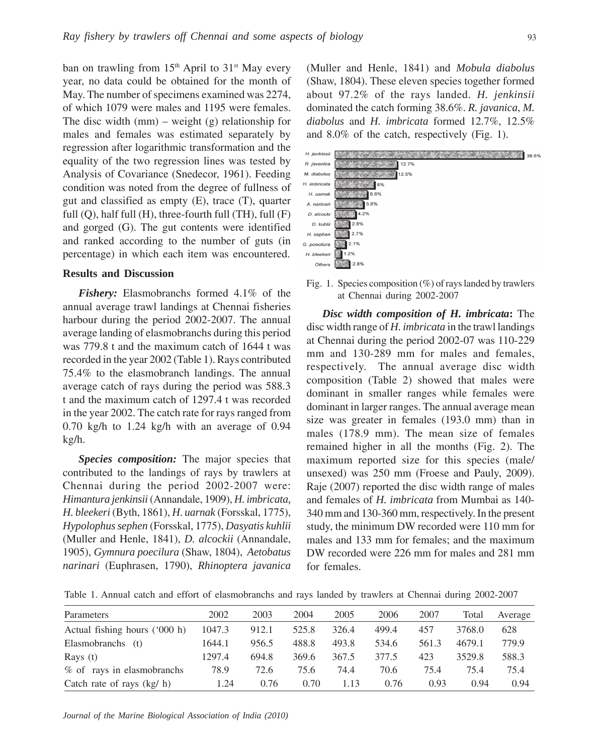ban on trawling from  $15<sup>th</sup>$  April to  $31<sup>st</sup>$  May every year, no data could be obtained for the month of May. The number of specimens examined was 2274, of which 1079 were males and 1195 were females. The disc width  $(nm)$  – weight  $(g)$  relationship for males and females was estimated separately by regression after logarithmic transformation and the equality of the two regression lines was tested by Analysis of Covariance (Snedecor, 1961). Feeding condition was noted from the degree of fullness of gut and classified as empty (E), trace (T), quarter full  $(Q)$ , half full  $(H)$ , three-fourth full  $(TH)$ , full  $(F)$ and gorged (G). The gut contents were identified and ranked according to the number of guts (in percentage) in which each item was encountered.

#### **Results and Discussion**

*Fishery:* Elasmobranchs formed 4.1% of the annual average trawl landings at Chennai fisheries harbour during the period 2002-2007. The annual average landing of elasmobranchs during this period was 779.8 t and the maximum catch of 1644 t was recorded in the year 2002 (Table 1). Rays contributed 75.4% to the elasmobranch landings. The annual average catch of rays during the period was 588.3 t and the maximum catch of 1297.4 t was recorded in the year 2002. The catch rate for rays ranged from 0.70 kg/h to 1.24 kg/h with an average of 0.94 kg/h.

*Species composition:* The major species that contributed to the landings of rays by trawlers at Chennai during the period 2002-2007 were: *Himantura jenkinsii* (Annandale, 1909), *H. imbricata, H. bleekeri* (Byth, 1861), *H*. *uarnak* (Forsskal, 1775), *Hypolophus sephen* (Forsskal, 1775), *Dasyatis kuhlii* (Muller and Henle, 1841), *D. alcockii* (Annandale, 1905), *Gymnura poecilura* (Shaw, 1804), *Aetobatus narinari* (Euphrasen, 1790), *Rhinoptera javanica* (Muller and Henle, 1841) and *Mobula diabolus* (Shaw, 1804). These eleven species together formed about 97.2% of the rays landed. *H. jenkinsii* dominated the catch forming 38.6%. *R. javanica*, *M. diabolus* and *H. imbricata* formed 12.7%, 12.5% and 8.0% of the catch, respectively (Fig. 1).



Fig. 1. Species composition  $(\%)$  of rays landed by trawlers at Chennai during 2002-2007

*Disc width composition of H. imbricata***:** The disc width range of *H. imbricata* in the trawl landings at Chennai during the period 2002-07 was 110-229 mm and 130-289 mm for males and females, respectively. The annual average disc width composition (Table 2) showed that males were dominant in smaller ranges while females were dominant in larger ranges. The annual average mean size was greater in females (193.0 mm) than in males (178.9 mm). The mean size of females remained higher in all the months (Fig. 2). The maximum reported size for this species (male/ unsexed) was 250 mm (Froese and Pauly, 2009). Raje (2007) reported the disc width range of males and females of *H. imbricata* from Mumbai as 140- 340 mm and 130-360 mm, respectively. In the present study, the minimum DW recorded were 110 mm for males and 133 mm for females; and the maximum DW recorded were 226 mm for males and 281 mm for females.

Table 1. Annual catch and effort of elasmobranchs and rays landed by trawlers at Chennai during 2002-2007

| Parameters                    | 2002   | 2003  | 2004  | 2005  | 2006  | 2007  | Total  | Average |
|-------------------------------|--------|-------|-------|-------|-------|-------|--------|---------|
| Actual fishing hours ('000 h) | 1047.3 | 912.1 | 525.8 | 326.4 | 499.4 | 457   | 3768.0 | 628     |
| Elasmobranchs (t)             | 1644.1 | 956.5 | 488.8 | 493.8 | 534.6 | 561.3 | 4679.1 | 779.9   |
| Rays $(t)$                    | 1297.4 | 694.8 | 369.6 | 367.5 | 377.5 | 423   | 3529.8 | 588.3   |
| % of rays in elasmobranchs    | 78.9   | 72.6  | 75.6  | 74.4  | 70.6  | 75.4  | 75.4   | 75.4    |
| Catch rate of rays $(kg/h)$   | 1.24   | 0.76  | 0.70  | 1.13  | 0.76  | 0.93  | 0.94   | 0.94    |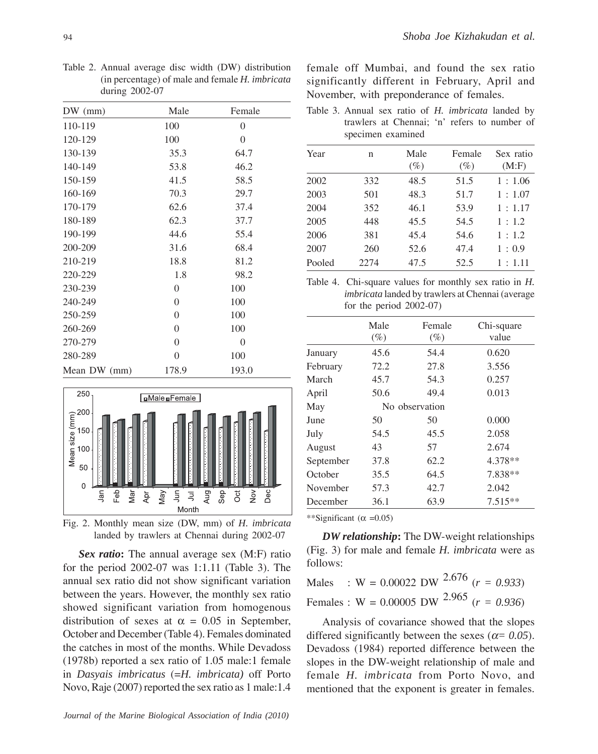Table 2. Annual average disc width (DW) distribution (in percentage) of male and female *H. imbricata* during 2002-07

| $DW$ (mm)    | Male           | Female         |
|--------------|----------------|----------------|
| 110-119      | 100            | 0              |
| 120-129      | 100            | $\overline{0}$ |
| 130-139      | 35.3           | 64.7           |
| 140-149      | 53.8           | 46.2           |
| 150-159      | 41.5           | 58.5           |
| 160-169      | 70.3           | 29.7           |
| 170-179      | 62.6           | 37.4           |
| 180-189      | 62.3           | 37.7           |
| 190-199      | 44.6           | 55.4           |
| 200-209      | 31.6           | 68.4           |
| 210-219      | 18.8           | 81.2           |
| 220-229      | 1.8            | 98.2           |
| 230-239      | $\overline{0}$ | 100            |
| 240-249      | $\overline{0}$ | 100            |
| 250-259      | $\overline{0}$ | 100            |
| 260-269      | $\overline{0}$ | 100            |
| 270-279      | 0              | $\Omega$       |
| 280-289      | 0              | 100            |
| Mean DW (mm) | 178.9          | 193.0          |



Fig. 2. Monthly mean size (DW, mm) of *H. imbricata* landed by trawlers at Chennai during 2002-07

*Sex ratio***:** The annual average sex (M:F) ratio for the period 2002-07 was 1:1.11 (Table 3). The annual sex ratio did not show significant variation between the years. However, the monthly sex ratio showed significant variation from homogenous distribution of sexes at  $\alpha = 0.05$  in September, October and December (Table 4). Females dominated the catches in most of the months. While Devadoss (1978b) reported a sex ratio of 1.05 male:1 female in *Dasyais imbricatus* (=*H. imbricata)* off Porto Novo, Raje (2007) reported the sex ratio as 1 male:1.4 female off Mumbai, and found the sex ratio significantly different in February, April and November, with preponderance of females.

Table 3. Annual sex ratio of *H. imbricata* landed by trawlers at Chennai; 'n' refers to number of specimen examined

| Year   | n    | Male<br>$(\%)$ | Female<br>$(\%)$ | Sex ratio<br>(M:F) |
|--------|------|----------------|------------------|--------------------|
| 2002   | 332  | 48.5           | 51.5             | 1:1.06             |
| 2003   | 501  | 48.3           | 51.7             | 1:1.07             |
| 2004   | 352  | 46.1           | 53.9             | 1:1.17             |
| 2005   | 448  | 45.5           | 54.5             | 1:1.2              |
| 2006   | 381  | 45.4           | 54.6             | 1:1.2              |
| 2007   | 260  | 52.6           | 47.4             | 1:0.9              |
| Pooled | 2274 | 47.5           | 52.5             | 1:1.11             |

Table 4. Chi-square values for monthly sex ratio in *H. imbricata* landed by trawlers at Chennai (average for the period 2002-07)

|           | Male   | Female         | Chi-square |
|-----------|--------|----------------|------------|
|           | $(\%)$ | (%)            | value      |
| January   | 45.6   | 54.4           | 0.620      |
| February  | 72.2   | 27.8           | 3.556      |
| March     | 45.7   | 54.3           | 0.257      |
| April     | 50.6   | 49.4           | 0.013      |
| May       |        | No observation |            |
| June      | 50     | 50             | 0.000      |
| July      | 54.5   | 45.5           | 2.058      |
| August    | 43     | 57             | 2.674      |
| September | 37.8   | 62.2           | 4.378**    |
| October   | 35.5   | 64.5           | 7.838**    |
| November  | 57.3   | 42.7           | 2.042      |
| December  | 36.1   | 63.9           | $7.515**$  |

\*\*Significant ( $\alpha$  =0.05)

*DW relationship***:** The DW-weight relationships (Fig. 3) for male and female *H. imbricata* were as follows:

Males : W =  $0.00022$  DW  $^{2.676}$  ( $r = 0.933$ ) Females :  $W = 0.00005$  DW <sup>2.965</sup> ( $r = 0.936$ )

Analysis of covariance showed that the slopes differed significantly between the sexes ( $\alpha$ = 0.05). Devadoss (1984) reported difference between the slopes in the DW-weight relationship of male and female *H. imbricata* from Porto Novo, and mentioned that the exponent is greater in females.